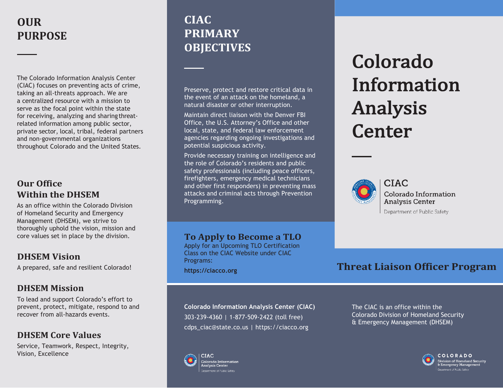# **OUR PURPOSE**

The Colorado Information Analysis Center (CIAC) focuses on preventing acts of crime, taking an all-threats approach. We are a centralized resource with a mission to serve as the focal point within the state for receiving, analyzing and sharing threatrelated information among public sector, private sector, local, tribal, federal partners and non-governmental organizations throughout Colorado and the United States.

### **Our Office Within the DHSEM**

As an office within the Colorado Division of Homeland Security and Emergency Management (DHSEM), we strive to thoroughly uphold the vision, mission and core values set in place by the division.

### **DHSEM Vision**

A prepared, safe and resilient Colorado!

### **DHSEM Mission**

To lead and support Colorado's effort to prevent, protect, mitigate, respond to and recover from all-hazards events.

### **DHSEM Core Values**

Service, Teamwork, Respect, Integrity, Vision, Excellence

## **CIAC PRIMARY OBJECTIVES**

Preserve, protect and restore critical data in the event of an attack on the homeland, a natural disaster or other interruption.

Maintain direct liaison with the Denver FBI Office, the U.S. Attorney's Office and other local, state, and federal law enforcement agencies regarding ongoing investigations and potential suspicious activity.

Provide necessary training on intelligence and the role of Colorado's residents and public safety professionals (including peace officers, firefighters, emergency medical technicians and other first responders) in preventing mass attacks and criminal acts through Prevention Programming.

### **To Apply to Become a TLO**

Apply for an Upcoming TLO Certification Class on the CIAC Website under CIAC Programs: **https://ciacco.org**

**Colorado Information Analysis Center (CIAC)** 303-239-4360 | 1-877-509-2422 (toll free) [cdps\\_ciac@state.co.us](mailto:cdps_ciac@state.co.us) | https://ciacco.org



**CIAC** 

Colorado Information Analysis Center lenartment of Public Safety

# Colorado Information Analysis **Center**



**CIAC** Colorado Information **Analysis Center** Department of Public Safety

### **Threat Liaison Officer Program**

The CIAC is an office within the Colorado Division of Homeland Security & Emergency Management (DHSEM)